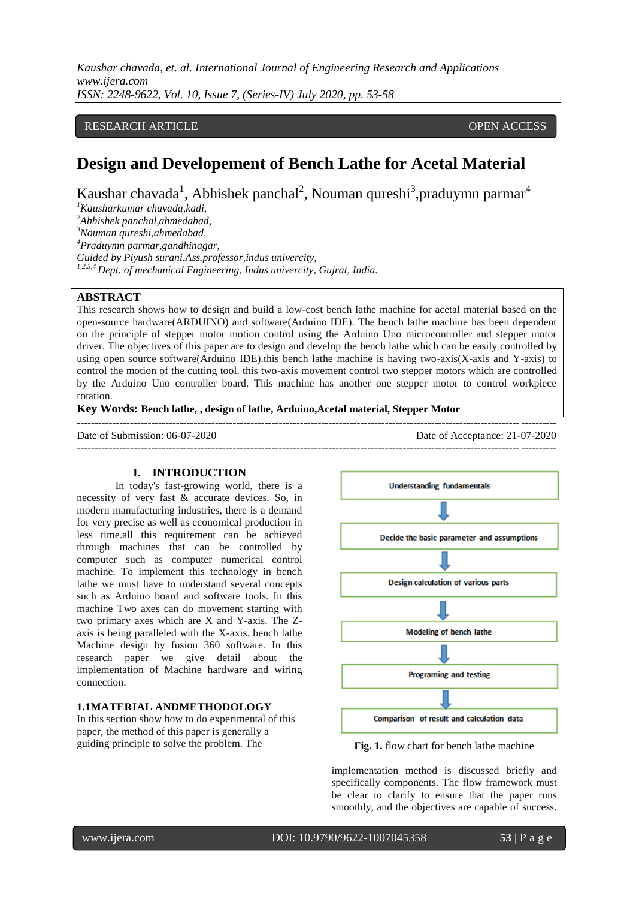# RESEARCH ARTICLE **CONTRACT ARTICLE** AND A SERVICE OPEN ACCESS

# **Design and Developement of Bench Lathe for Acetal Material**

Kaushar chavada<sup>1</sup>, Abhishek panchal<sup>2</sup>, Nouman qureshi<sup>3</sup>, praduymn parmar<sup>4</sup>

*<sup>1</sup>Kausharkumar chavada,kadi,*

*<sup>2</sup>Abhishek panchal,ahmedabad,*

*<sup>3</sup>Nouman qureshi,ahmedabad,*

*<sup>4</sup>Praduymn parmar,gandhinagar,*

*Guided by Piyush surani.Ass.professor,indus univercity,*

*1,2,3,4 Dept. of mechanical Engineering, Indus univercity, Gujrat, India.*

# **ABSTRACT**

This research shows how to design and build a low-cost bench lathe machine for acetal material based on the open-source hardware(ARDUINO) and software(Arduino IDE). The bench lathe machine has been dependent on the principle of stepper motor motion control using the Arduino Uno microcontroller and stepper motor driver. The objectives of this paper are to design and develop the bench lathe which can be easily controlled by using open source software(Arduino IDE).this bench lathe machine is having two-axis(X-axis and Y-axis) to control the motion of the cutting tool. this two-axis movement control two stepper motors which are controlled by the Arduino Uno controller board. This machine has another one stepper motor to control workpiece rotation.

---------------------------------------------------------------------------------------------------------------------------------------

---------------------------------------------------------------------------------------------------------------------------------------

**Key Words: Bench lathe, , design of lathe, Arduino,Acetal material, Stepper Motor**

Date of Submission: 06-07-2020 Date of Acceptance: 21-07-2020

#### **I. INTRODUCTION**

In today's fast-growing world, there is a necessity of very fast & accurate devices. So, in modern manufacturing industries, there is a demand for very precise as well as economical production in less time.all this requirement can be achieved through machines that can be controlled by computer such as computer numerical control machine. To implement this technology in bench lathe we must have to understand several concepts such as Arduino board and software tools. In this machine Two axes can do movement starting with two primary axes which are X and Y-axis. The Zaxis is being paralleled with the X-axis. bench lathe Machine design by fusion 360 software. In this research paper we give detail about the implementation of Machine hardware and wiring connection.

# **1.1MATERIAL ANDMETHODOLOGY**

In this section show how to do experimental of this paper, the method of this paper is generally a guiding principle to solve the problem. The **Fig. 1.** flow chart for bench lathe machine





implementation method is discussed briefly and specifically components. The flow framework must be clear to clarify to ensure that the paper runs smoothly, and the objectives are capable of success.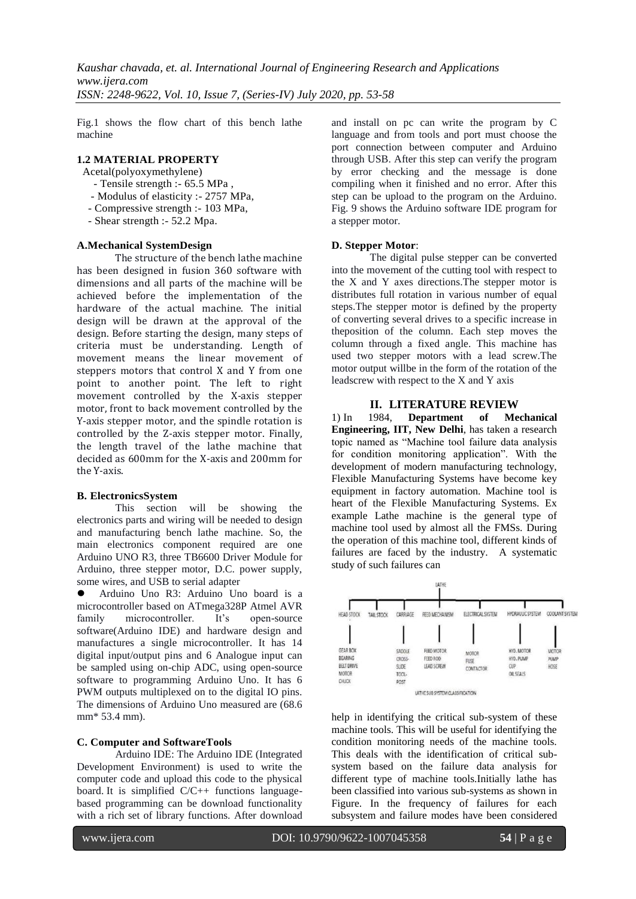Fig.1 shows the flow chart of this bench lathe machine

### **1.2 MATERIAL PROPERTY**

Acetal(polyoxymethylene)

- Tensile strength :- 65.5 MPa ,
- Modulus of elasticity :- 2757 MPa,
- Compressive strength :- 103 MPa,
- Shear strength :- 52.2 Mpa.

#### **A.Mechanical SystemDesign**

The structure of the bench lathe machine has been designed in fusion 360 software with dimensions and all parts of the machine will be achieved before the implementation of the hardware of the actual machine. The initial design will be drawn at the approval of the design. Before starting the design, many steps of criteria must be understanding. Length of movement means the linear movement of steppers motors that control X and Y from one point to another point. The left to right movement controlled by the X-axis stepper motor, front to back movement controlled by the Y-axis stepper motor, and the spindle rotation is controlled by the Z-axis stepper motor. Finally, the length travel of the lathe machine that decided as 600mm for the X-axis and 200mm for the Y-axis.

#### **B. ElectronicsSystem**

This section will be showing the electronics parts and wiring will be needed to design and manufacturing bench lathe machine. So, the main electronics component required are one Arduino UNO R3, three TB6600 Driver Module for Arduino, three stepper motor, D.C. power supply, some wires, and USB to serial adapter

 Arduino Uno R3: Arduino Uno board is a microcontroller based on ATmega328P Atmel AVR family microcontroller. It's open-source software(Arduino IDE) and hardware design and manufactures a single microcontroller. It has 14 digital input/output pins and 6 Analogue input can be sampled using on-chip ADC, using open-source software to programming Arduino Uno. It has 6 PWM outputs multiplexed on to the digital IO pins. The dimensions of Arduino Uno measured are (68.6 mm\* 53.4 mm).

# **C. Computer and SoftwareTools**

Arduino IDE: The Arduino IDE (Integrated Development Environment) is used to write the computer code and upload this code to the physical board. It is simplified  $C/C++$  functions languagebased programming can be download functionality with a rich set of library functions. After download and install on pc can write the program by C language and from tools and port must choose the port connection between computer and Arduino through USB. After this step can verify the program by error checking and the message is done compiling when it finished and no error. After this step can be upload to the program on the Arduino. Fig. 9 shows the Arduino software IDE program for a stepper motor.

#### **D. Stepper Motor**:

The digital pulse stepper can be converted into the movement of the cutting tool with respect to the X and Y axes directions.The stepper motor is distributes full rotation in various number of equal steps.The stepper motor is defined by the property of converting several drives to a specific increase in theposition of the column. Each step moves the column through a fixed angle. This machine has used two stepper motors with a lead screw.The motor output willbe in the form of the rotation of the leadscrew with respect to the X and Y axis

#### **II. LITERATURE REVIEW**

1) In 1984, **Department of Mechanical Engineering, IIT, New Delhi**, has taken a research topic named as "Machine tool failure data analysis for condition monitoring application". With the development of modern manufacturing technology, Flexible Manufacturing Systems have become key equipment in factory automation. Machine tool is heart of the Flexible Manufacturing Systems. Ex example Lathe machine is the general type of machine tool used by almost all the FMSs. During the operation of this machine tool, different kinds of failures are faced by the industry. A systematic study of such failures can



help in identifying the critical sub-system of these machine tools. This will be useful for identifying the condition monitoring needs of the machine tools. This deals with the identification of critical subsystem based on the failure data analysis for different type of machine tools.Initially lathe has been classified into various sub-systems as shown in Figure. In the frequency of failures for each subsystem and failure modes have been considered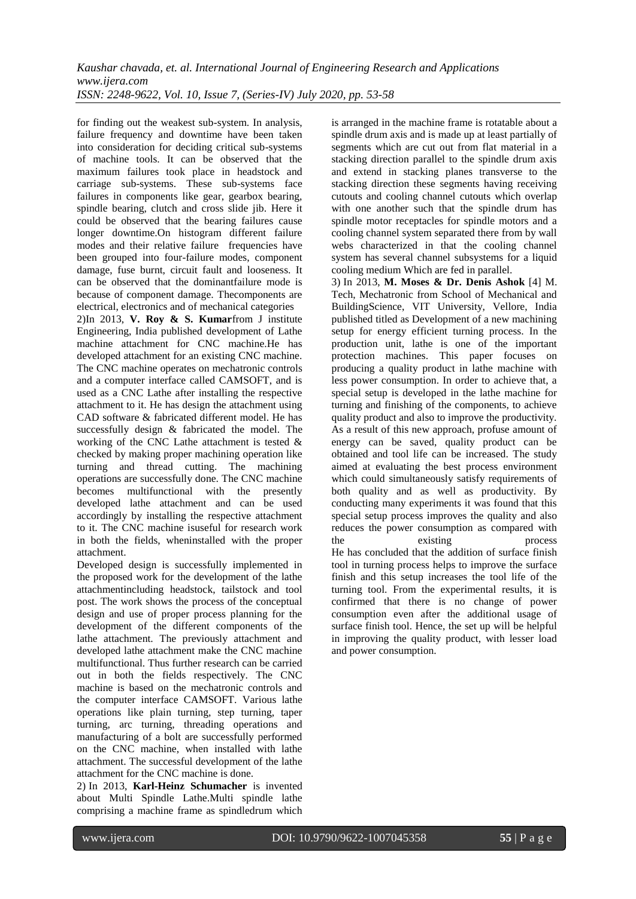for finding out the weakest sub-system. In analysis, failure frequency and downtime have been taken into consideration for deciding critical sub-systems of machine tools. It can be observed that the maximum failures took place in headstock and carriage sub-systems. These sub-systems face failures in components like gear, gearbox bearing, spindle bearing, clutch and cross slide jib. Here it could be observed that the bearing failures cause longer downtime.On histogram different failure modes and their relative failure frequencies have been grouped into four-failure modes, component damage, fuse burnt, circuit fault and looseness. It can be observed that the dominantfailure mode is because of component damage. Thecomponents are electrical, electronics and of mechanical categories

2)In 2013, **V. Roy & S. Kumar**from J institute Engineering, India published development of Lathe machine attachment for CNC machine.He has developed attachment for an existing CNC machine. The CNC machine operates on mechatronic controls and a computer interface called CAMSOFT, and is used as a CNC Lathe after installing the respective attachment to it. He has design the attachment using CAD software & fabricated different model. He has successfully design & fabricated the model. The working of the CNC Lathe attachment is tested & checked by making proper machining operation like turning and thread cutting. The machining operations are successfully done. The CNC machine becomes multifunctional with the presently developed lathe attachment and can be used accordingly by installing the respective attachment to it. The CNC machine isuseful for research work in both the fields, wheninstalled with the proper attachment.

Developed design is successfully implemented in the proposed work for the development of the lathe attachmentincluding headstock, tailstock and tool post. The work shows the process of the conceptual design and use of proper process planning for the development of the different components of the lathe attachment. The previously attachment and developed lathe attachment make the CNC machine multifunctional. Thus further research can be carried out in both the fields respectively. The CNC machine is based on the mechatronic controls and the computer interface CAMSOFT. Various lathe operations like plain turning, step turning, taper turning, arc turning, threading operations and manufacturing of a bolt are successfully performed on the CNC machine, when installed with lathe attachment. The successful development of the lathe attachment for the CNC machine is done.

2) In 2013, **Karl-Heinz Schumacher** is invented about Multi Spindle Lathe.Multi spindle lathe comprising a machine frame as spindledrum which is arranged in the machine frame is rotatable about a spindle drum axis and is made up at least partially of segments which are cut out from flat material in a stacking direction parallel to the spindle drum axis and extend in stacking planes transverse to the stacking direction these segments having receiving cutouts and cooling channel cutouts which overlap with one another such that the spindle drum has spindle motor receptacles for spindle motors and a cooling channel system separated there from by wall webs characterized in that the cooling channel system has several channel subsystems for a liquid cooling medium Which are fed in parallel.

3) In 2013, **M. Moses & Dr. Denis Ashok** [4] M. Tech, Mechatronic from School of Mechanical and BuildingScience, VIT University, Vellore, India published titled as Development of a new machining setup for energy efficient turning process. In the production unit, lathe is one of the important protection machines. This paper focuses on producing a quality product in lathe machine with less power consumption. In order to achieve that, a special setup is developed in the lathe machine for turning and finishing of the components, to achieve quality product and also to improve the productivity. As a result of this new approach, profuse amount of energy can be saved, quality product can be obtained and tool life can be increased. The study aimed at evaluating the best process environment which could simultaneously satisfy requirements of both quality and as well as productivity. By conducting many experiments it was found that this special setup process improves the quality and also reduces the power consumption as compared with the existing process He has concluded that the addition of surface finish tool in turning process helps to improve the surface finish and this setup increases the tool life of the turning tool. From the experimental results, it is confirmed that there is no change of power consumption even after the additional usage of surface finish tool. Hence, the set up will be helpful in improving the quality product, with lesser load and power consumption.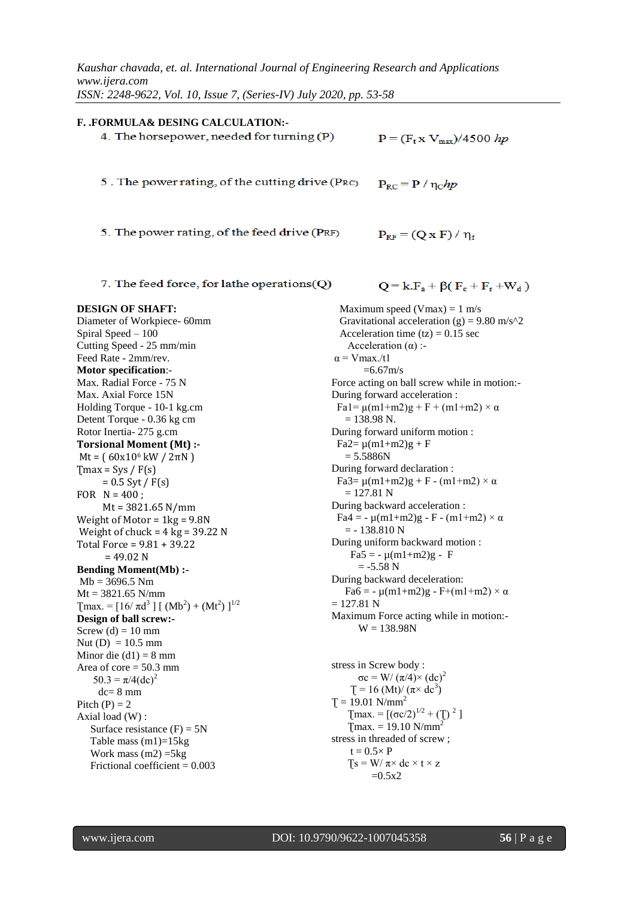| F. FORMULA& DESING CALCULATION:-                                                  |                                                                    |  |
|-----------------------------------------------------------------------------------|--------------------------------------------------------------------|--|
| 4. The horsepower, needed for turning (P)                                         | $P = (F_t x V_{max})/4500 hp$                                      |  |
|                                                                                   |                                                                    |  |
|                                                                                   |                                                                    |  |
|                                                                                   |                                                                    |  |
| 5. The power rating, of the cutting drive (PRC)                                   | $P_{RC} = P / \eta_c$ hp                                           |  |
|                                                                                   |                                                                    |  |
|                                                                                   |                                                                    |  |
| 5. The power rating, of the feed drive (PRF)                                      |                                                                    |  |
|                                                                                   | $P_{RF} = (Q \times F) / \eta_f$                                   |  |
|                                                                                   |                                                                    |  |
|                                                                                   |                                                                    |  |
| 7. The feed force, for lathe operations $(Q)$                                     | $Q = k.F_a + \beta(F_c + F_r + W_d)$                               |  |
|                                                                                   |                                                                    |  |
| <b>DESIGN OF SHAFT:</b>                                                           | Maximum speed (Vmax) = $1 \text{ m/s}$                             |  |
| Diameter of Workpiece- 60mm                                                       | Gravitational acceleration (g) = 9.80 m/s $\textdegree$ 2          |  |
| Spiral Speed - 100                                                                | Acceleration time $(tz) = 0.15$ sec                                |  |
| Cutting Speed - 25 mm/min                                                         | Acceleration $(\alpha)$ :-                                         |  |
| Feed Rate - 2mm/rev.                                                              | $\alpha$ = V max./t1                                               |  |
| <b>Motor specification:-</b>                                                      | $=6.67$ m/s                                                        |  |
| Max. Radial Force - 75 N                                                          | Force acting on ball screw while in motion:-                       |  |
| Max. Axial Force 15N                                                              | During forward acceleration:                                       |  |
| Holding Torque - 10-1 kg.cm                                                       | Fa1= $\mu$ (m1+m2)g + F + (m1+m2) × α                              |  |
| Detent Torque - 0.36 kg cm                                                        | $= 138.98$ N.                                                      |  |
| Rotor Inertia-275 g.cm                                                            | During forward uniform motion :                                    |  |
| Torsional Moment (Mt) :-                                                          | $Fa2 = \mu(m1 + m2)g + F$                                          |  |
| $Mt = (60x10^6 kW / 2\pi N)$                                                      | $= 5.5886N$                                                        |  |
| $T$ max = Sys / F(s)                                                              | During forward declaration:                                        |  |
| $= 0.5$ Syt / F(s)                                                                | Fa3= $\mu$ (m1+m2)g + F - (m1+m2) × α                              |  |
| FOR $N = 400$ ;                                                                   | $= 127.81$ N                                                       |  |
| $Mt = 3821.65 N/mm$                                                               | During backward acceleration :                                     |  |
| Weight of Motor = $1kg = 9.8N$                                                    | $Fa4 = -\mu(m1+m2)g - F - (m1+m2) \times \alpha$<br>$= -138.810 N$ |  |
| Weight of chuck = $4 \text{ kg} = 39.22 \text{ N}$                                | During uniform backward motion:                                    |  |
| Total Force = $9.81 + 39.22$                                                      | $Fa5 = -\mu(m1+m2)g - F$                                           |  |
| $= 49.02$ N                                                                       | $= -5.58$ N                                                        |  |
| <b>Bending Moment(Mb):-</b><br>$Mb = 3696.5 Nm$                                   | During backward deceleration:                                      |  |
| $Mt = 3821.65$ N/mm                                                               | Fa6 = - $\mu$ (m1+m2)g - F+(m1+m2) × $\alpha$                      |  |
| [max. = $[16/\pi d^3]$ [ (Mb <sup>2</sup> ) + (Mt <sup>2</sup> ) ] <sup>1/2</sup> | $= 127.81 N$                                                       |  |
| Design of ball screw:-                                                            | Maximum Force acting while in motion:-                             |  |
| Screw (d) = $10 \text{ mm}$                                                       | $W = 138.98N$                                                      |  |
| Nut (D) = $10.5$ mm                                                               |                                                                    |  |
| Minor die $(d1) = 8$ mm                                                           |                                                                    |  |
| Area of core $= 50.3$ mm                                                          | stress in Screw body:                                              |  |
| $50.3 = \pi/4$ (dc) <sup>2</sup>                                                  | $\sigma c = W/(\pi/4) \times (dc)^2$                               |  |
| $dc = 8$ mm                                                                       | $T = 16$ (Mt)/ $(\pi \times dc^3)$                                 |  |
| Pitch $(P) = 2$                                                                   | $T = 19.01$ N/mm <sup>2</sup>                                      |  |
| Axial load (W):                                                                   | [max. = $[(\sigma c/2)^{1/2} + (T)^2]$ ]                           |  |
| Surface resistance $(F) = 5N$                                                     | $T$ max. = 19.10 N/mm <sup>2</sup>                                 |  |
| Table mass $(m1)=15kg$                                                            | stress in threaded of screw;                                       |  |
| Work mass $(m2) = 5kg$                                                            | $t = 0.5 \times P$                                                 |  |
| Frictional coefficient = $0.003$                                                  | $Ts = W/\pi \times dc \times t \times z$<br>$=0.5x2$               |  |
|                                                                                   |                                                                    |  |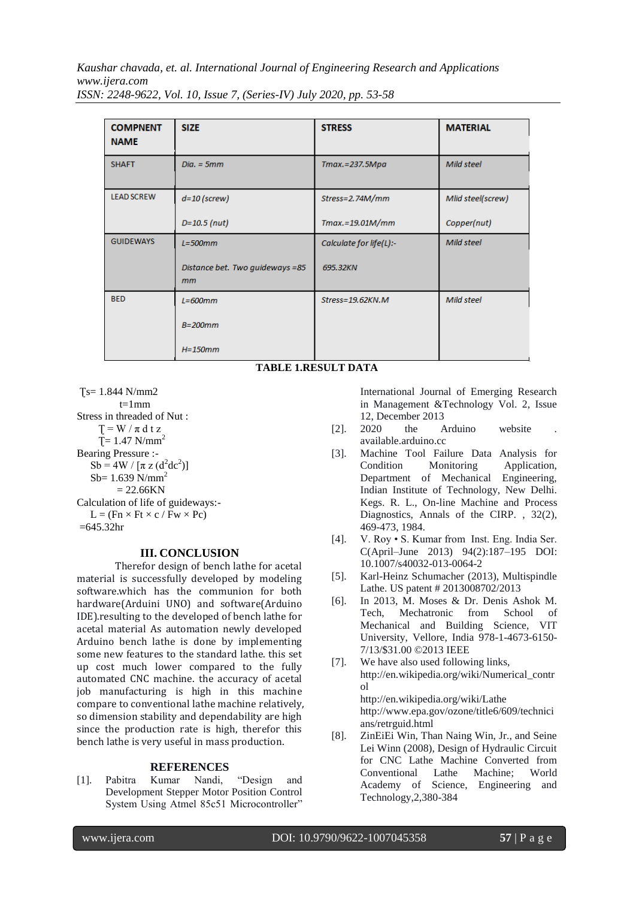| <b>COMPNENT</b><br><b>NAME</b> | <b>SIZE</b>                           | <b>STRESS</b>           | <b>MATERIAL</b>   |
|--------------------------------|---------------------------------------|-------------------------|-------------------|
| <b>SHAFT</b>                   | $Dia. = 5mm$                          | Tmax.=237.5Mpa          | Mild steel        |
| <b>LEAD SCREW</b>              | $d=10$ (screw)                        | Stress=2.74M/mm         | Mlid steel(screw) |
|                                | $D=10.5$ (nut)                        | $Tmax.=19.01M/mm$       | Copper(nut)       |
| <b>GUIDEWAYS</b>               | $L = 500$ mm                          | Calculate for life(L):- | Mild steel        |
|                                | Distance bet. Two guideways =85<br>mm | 695.32KN                |                   |
| <b>BED</b>                     | $L = 600$ mm                          | Stress=19.62KN.M        | Mild steel        |
|                                | $B=200$ mm                            |                         |                   |
|                                | $H=150mm$                             |                         |                   |

# **TABLE 1.RESULT DATA**

 $Ts = 1.844 N/mm2$  $t=1$ mm Stress in threaded of Nut :  $T = W / \pi dt z$  $T = 1.47$  N/mm<sup>2</sup> Bearing Pressure :-  $Sb = 4W / [\pi z (d^2 dc^2)]$  $Sb= 1.639$  N/mm<sup>2</sup>  $= 22.66KN$ Calculation of life of guideways:-  $L = (Fn \times Ft \times c / Fw \times Pc)$  $=645.32$ hr

# **III. CONCLUSION**

Therefor design of bench lathe for acetal material is successfully developed by modeling software.which has the communion for both hardware(Arduini UNO) and software(Arduino IDE).resulting to the developed of bench lathe for acetal material As automation newly developed Arduino bench lathe is done by implementing some new features to the standard lathe. this set up cost much lower compared to the fully automated CNC machine. the accuracy of acetal job manufacturing is high in this machine compare to conventional lathe machine relatively, so dimension stability and dependability are high since the production rate is high, therefor this bench lathe is very useful in mass production.

# **REFERENCES**

[1]. Pabitra Kumar Nandi, "Design and Development Stepper Motor Position Control System Using Atmel 85c51 Microcontroller"

International Journal of Emerging Research in Management &Technology Vol. 2, Issue 12, December 2013

- $[2]$ .  $2020$  the Arduino website available.arduino.cc
- [3]. Machine Tool Failure Data Analysis for Condition Monitoring Application, Department of Mechanical Engineering, Indian Institute of Technology, New Delhi. Kegs. R. L., On-line Machine and Process Diagnostics, Annals of the CIRP. , 32(2), 469-473, 1984.
- [4]. V. Roy S. Kumar from Inst. Eng. India Ser. C(April–June 2013) 94(2):187–195 DOI: 10.1007/s40032-013-0064-2
- [5]. Karl-Heinz Schumacher (2013), Multispindle Lathe. US patent # 2013008702/2013
- [6]. In 2013, M. Moses & Dr. Denis Ashok M. Tech, Mechatronic from School of Mechanical and Building Science, VIT University, Vellore, India 978-1-4673-6150- 7/13/\$31.00 ©2013 IEEE
- [7]. We have also used following links, http://en.wikipedia.org/wiki/Numerical\_contr ol http://en.wikipedia.org/wiki/Lathe http://www.epa.gov/ozone/title6/609/technici
- ans/retrguid.html [8]. ZinEiEi Win, Than Naing Win, Jr., and Seine Lei Winn (2008), Design of Hydraulic Circuit for CNC Lathe Machine Converted from Conventional Lathe Machine; World Academy of Science, Engineering and Technology,2,380-384